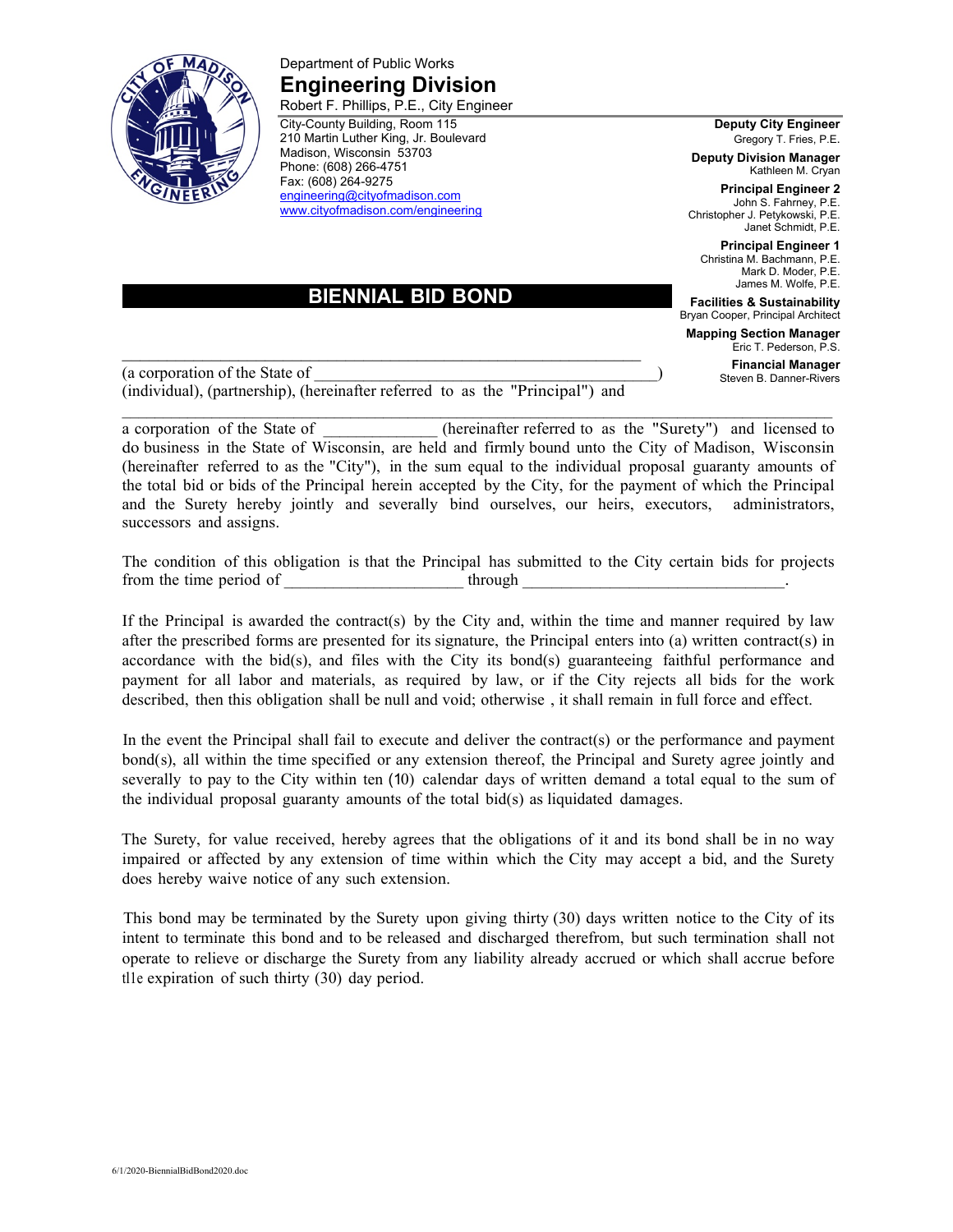

Department of Public Works **Engineering Division**  Robert F. Phillips, P.E., City Engineer

City-County Building, Room 115 210 Martin Luther King, Jr. Boulevard Madison, Wisconsin 53703 Phone: (608) 266-4751 Fax: (608) 264-9275 engineering@cityofmadison.com www.cityofmadison.com/engineering

**Deputy City Engineer** Gregory T. Fries, P.E.

**Deputy Division Manager** Kathleen M. Cryan

**Principal Engineer 2** John S. Fahrney, P.E. Christopher J. Petykowski, P.E. Janet Schmidt, P.E.

**Principal Engineer 1** Christina M. Bachmann, P.E. Mark D. Moder, P.E. James M. Wolfe, P.E.

**Facilities & Sustainability** Bryan Cooper, Principal Architect

**Mapping Section Manager** Eric T. Pederson, P.S.

> **Financial Manager** Steven B. Danner-Rivers

 **BIENNIAL BID BOND** 

 $\mathcal{L}_\mathcal{L} = \{ \mathcal{L}_\mathcal{L} = \{ \mathcal{L}_\mathcal{L} = \{ \mathcal{L}_\mathcal{L} = \{ \mathcal{L}_\mathcal{L} = \{ \mathcal{L}_\mathcal{L} = \{ \mathcal{L}_\mathcal{L} = \{ \mathcal{L}_\mathcal{L} = \{ \mathcal{L}_\mathcal{L} = \{ \mathcal{L}_\mathcal{L} = \{ \mathcal{L}_\mathcal{L} = \{ \mathcal{L}_\mathcal{L} = \{ \mathcal{L}_\mathcal{L} = \{ \mathcal{L}_\mathcal{L} = \{ \mathcal{L}_\mathcal{$ (a corporation of the State of \_\_\_\_\_\_\_\_\_\_\_\_\_\_\_\_\_\_\_\_\_\_\_\_\_\_\_\_\_\_\_\_\_\_\_\_\_\_\_\_\_\_) (individual), (partnership), (hereinafter referred to as the "Principal") and

a corporation of the State of  $\qquad$  (hereinafter referred to as the "Surety") and licensed to do business in the State of Wisconsin, are held and firmly bound unto the City of Madison, Wisconsin (hereinafter referred to as the "City"), in the sum equal to the individual proposal guaranty amounts of the total bid or bids of the Principal herein accepted by the City, for the payment of which the Principal and the Surety hereby jointly and severally bind ourselves, our heirs, executors, administrators, successors and assigns.

 $\mathcal{L}_\text{max}$ 

The condition of this obligation is that the Principal has submitted to the City certain bids for projects from the time period of through  $\Box$ 

If the Principal is awarded the contract(s) by the City and, within the time and manner required by law after the prescribed forms are presented for its signature, the Principal enters into (a) written contract(s) in accordance with the bid(s), and files with the City its bond(s) guaranteeing faithful performance and payment for all labor and materials, as required by law, or if the City rejects all bids for the work described, then this obligation shall be null and void; otherwise , it shall remain in full force and effect.

In the event the Principal shall fail to execute and deliver the contract(s) or the performance and payment bond(s), all within the time specified or any extension thereof, the Principal and Surety agree jointly and severally to pay to the City within ten (10) calendar days of written demand a total equal to the sum of the individual proposal guaranty amounts of the total bid(s) as liquidated damages.

The Surety, for value received, hereby agrees that the obligations of it and its bond shall be in no way impaired or affected by any extension of time within which the City may accept a bid, and the Surety does hereby waive notice of any such extension.

This bond may be terminated by the Surety upon giving thirty (30) days written notice to the City of its intent to terminate this bond and to be released and discharged therefrom, but such termination shall not operate to relieve or discharge the Surety from any liability already accrued or which shall accrue before tl1e expiration of such thirty (30) day period.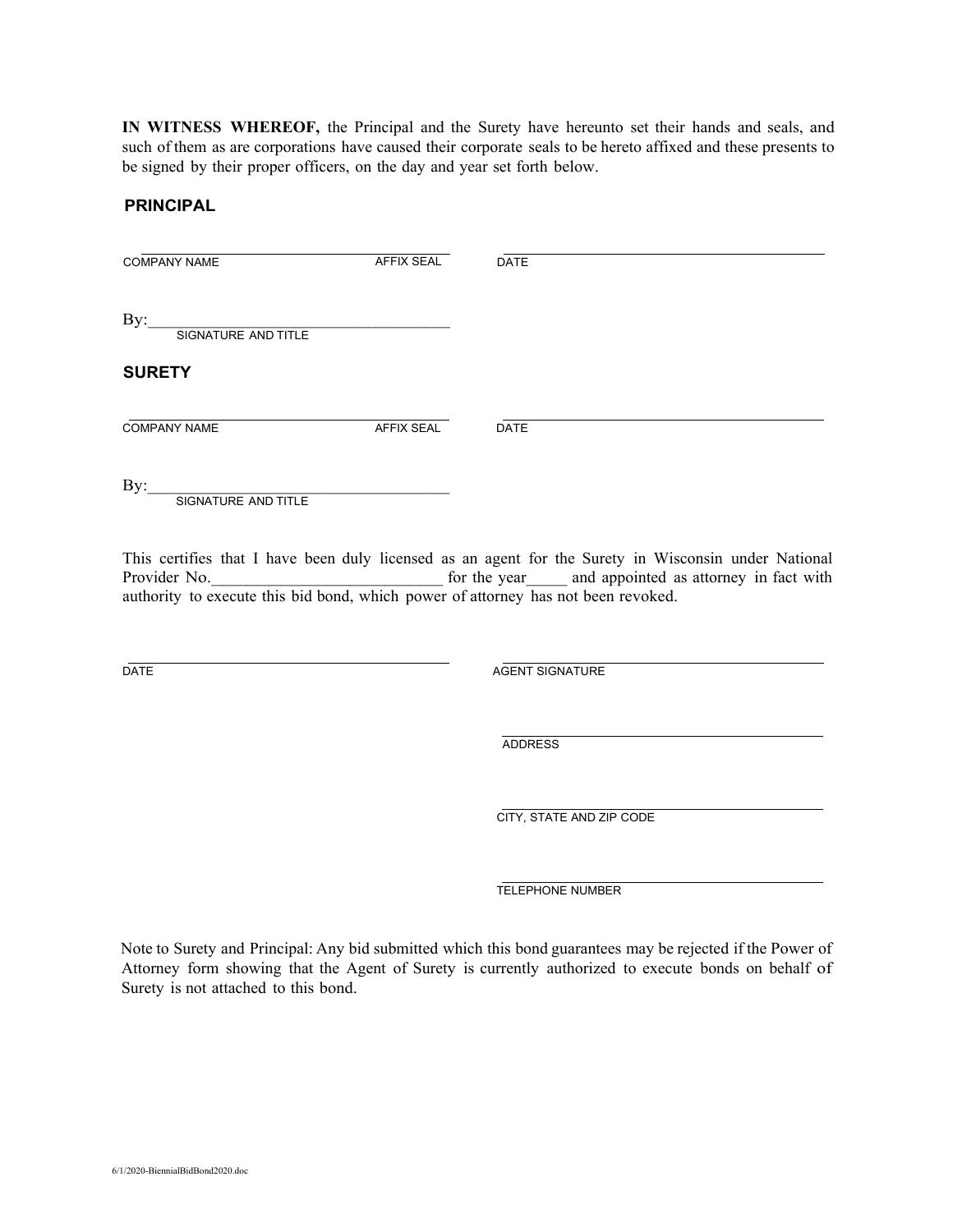**IN WITNESS WHEREOF,** the Principal and the Surety have hereunto set their hands and seals, and such of them as are corporations have caused their corporate seals to be hereto affixed and these presents to be signed by their proper officers, on the day and year set forth below.

## **PRINCIPAL**

| <b>COMPANY NAME</b>        | <b>AFFIX SEAL</b> | <b>DATE</b> |
|----------------------------|-------------------|-------------|
| By:<br>SIGNATURE AND TITLE |                   |             |
| <b>SURETY</b>              |                   |             |
| <b>COMPANY NAME</b>        | <b>AFFIX SEAL</b> | <b>DATE</b> |
| By:                        |                   |             |

SIGNATURE AND TITLE

This certifies that I have been duly licensed as an agent for the Surety in Wisconsin under National Provider No. The vear and appointed as attorney in fact with authority to execute this bid bond, which power of attorney has not been revoked.

DATE AGENT SIGNATURE

ADDRESS

CITY, STATE AND ZIP CODE

TELEPHONE NUMBER

Note to Surety and Principal: Any bid submitted which this bond guarantees may be rejected if the Power of Attorney form showing that the Agent of Surety is currently authorized to execute bonds on behalf of Surety is not attached to this bond.